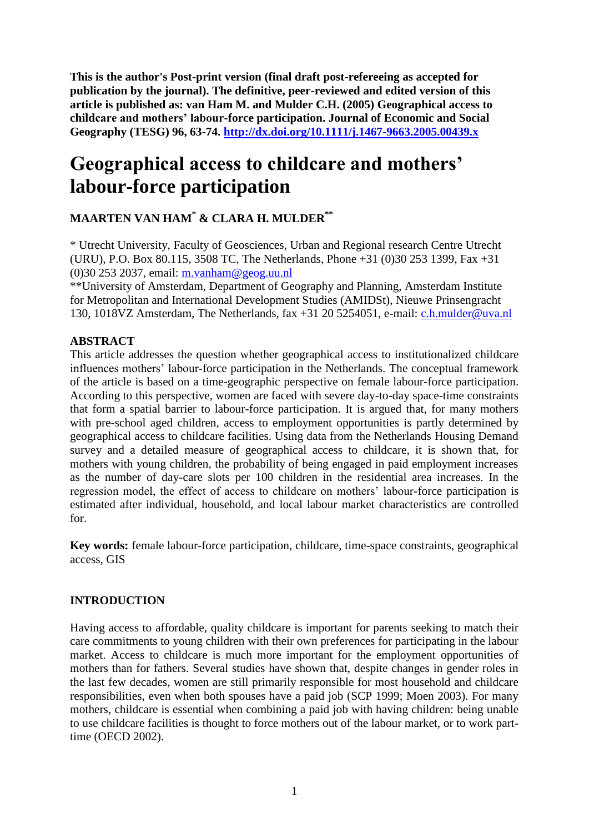**This is the author's Post-print version (final draft post-refereeing as accepted for publication by the journal). The definitive, peer-reviewed and edited version of this article is published as: van Ham M. and Mulder C.H. (2005) Geographical access to childcare and mothers' labour-force participation. Journal of Economic and Social Geography (TESG) 96, 63-74. <http://dx.doi.org/10.1111/j.1467-9663.2005.00439.x>**

# **Geographical access to childcare and mothers' labour-force participation**

# **MAARTEN VAN HAM\* & CLARA H. MULDER\*\***

\* Utrecht University, Faculty of Geosciences, Urban and Regional research Centre Utrecht (URU), P.O. Box 80.115, 3508 TC, The Netherlands, Phone +31 (0)30 253 1399, Fax +31 (0)30 253 2037, email: [m.vanham@geog.uu.nl](mailto:m.vanham@geog.uu.nl)

\*\*University of Amsterdam, Department of Geography and Planning, Amsterdam Institute for Metropolitan and International Development Studies (AMIDSt), Nieuwe Prinsengracht 130, 1018VZ Amsterdam, The Netherlands, fax +31 20 5254051, e-mail: [c.h.mulder@uva.nl](mailto:c.h.mulder@uva.nl)

## **ABSTRACT**

This article addresses the question whether geographical access to institutionalized childcare influences mothers' labour-force participation in the Netherlands. The conceptual framework of the article is based on a time-geographic perspective on female labour-force participation. According to this perspective, women are faced with severe day-to-day space-time constraints that form a spatial barrier to labour-force participation. It is argued that, for many mothers with pre-school aged children, access to employment opportunities is partly determined by geographical access to childcare facilities. Using data from the Netherlands Housing Demand survey and a detailed measure of geographical access to childcare, it is shown that, for mothers with young children, the probability of being engaged in paid employment increases as the number of day-care slots per 100 children in the residential area increases. In the regression model, the effect of access to childcare on mothers' labour-force participation is estimated after individual, household, and local labour market characteristics are controlled for.

**Key words:** female labour-force participation, childcare, time-space constraints, geographical access, GIS

#### **INTRODUCTION**

Having access to affordable, quality childcare is important for parents seeking to match their care commitments to young children with their own preferences for participating in the labour market. Access to childcare is much more important for the employment opportunities of mothers than for fathers. Several studies have shown that, despite changes in gender roles in the last few decades, women are still primarily responsible for most household and childcare responsibilities, even when both spouses have a paid job (SCP 1999; Moen 2003). For many mothers, childcare is essential when combining a paid job with having children: being unable to use childcare facilities is thought to force mothers out of the labour market, or to work parttime (OECD 2002).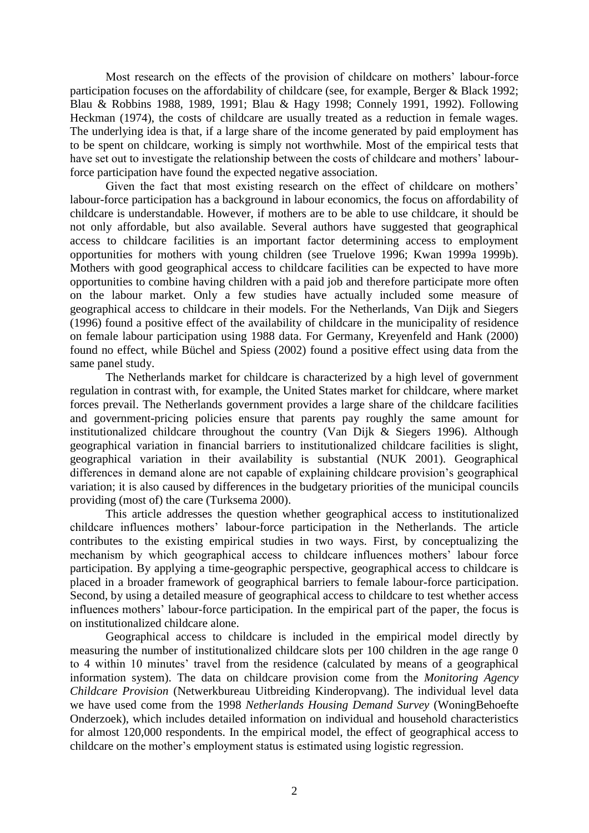Most research on the effects of the provision of childcare on mothers' labour-force participation focuses on the affordability of childcare (see, for example, Berger & Black 1992; Blau & Robbins 1988, 1989, 1991; Blau & Hagy 1998; Connely 1991, 1992). Following Heckman (1974), the costs of childcare are usually treated as a reduction in female wages. The underlying idea is that, if a large share of the income generated by paid employment has to be spent on childcare, working is simply not worthwhile. Most of the empirical tests that have set out to investigate the relationship between the costs of childcare and mothers' labourforce participation have found the expected negative association.

Given the fact that most existing research on the effect of childcare on mothers' labour-force participation has a background in labour economics, the focus on affordability of childcare is understandable. However, if mothers are to be able to use childcare, it should be not only affordable, but also available. Several authors have suggested that geographical access to childcare facilities is an important factor determining access to employment opportunities for mothers with young children (see Truelove 1996; Kwan 1999a 1999b). Mothers with good geographical access to childcare facilities can be expected to have more opportunities to combine having children with a paid job and therefore participate more often on the labour market. Only a few studies have actually included some measure of geographical access to childcare in their models. For the Netherlands, Van Dijk and Siegers (1996) found a positive effect of the availability of childcare in the municipality of residence on female labour participation using 1988 data. For Germany, Kreyenfeld and Hank (2000) found no effect, while Büchel and Spiess (2002) found a positive effect using data from the same panel study.

The Netherlands market for childcare is characterized by a high level of government regulation in contrast with, for example, the United States market for childcare, where market forces prevail. The Netherlands government provides a large share of the childcare facilities and government-pricing policies ensure that parents pay roughly the same amount for institutionalized childcare throughout the country (Van Dijk & Siegers 1996). Although geographical variation in financial barriers to institutionalized childcare facilities is slight, geographical variation in their availability is substantial (NUK 2001). Geographical differences in demand alone are not capable of explaining childcare provision's geographical variation; it is also caused by differences in the budgetary priorities of the municipal councils providing (most of) the care (Turksema 2000).

This article addresses the question whether geographical access to institutionalized childcare influences mothers' labour-force participation in the Netherlands. The article contributes to the existing empirical studies in two ways. First, by conceptualizing the mechanism by which geographical access to childcare influences mothers' labour force participation. By applying a time-geographic perspective, geographical access to childcare is placed in a broader framework of geographical barriers to female labour-force participation. Second, by using a detailed measure of geographical access to childcare to test whether access influences mothers' labour-force participation. In the empirical part of the paper, the focus is on institutionalized childcare alone.

Geographical access to childcare is included in the empirical model directly by measuring the number of institutionalized childcare slots per 100 children in the age range 0 to 4 within 10 minutes' travel from the residence (calculated by means of a geographical information system). The data on childcare provision come from the *Monitoring Agency Childcare Provision* (Netwerkbureau Uitbreiding Kinderopvang). The individual level data we have used come from the 1998 *Netherlands Housing Demand Survey* (WoningBehoefte Onderzoek), which includes detailed information on individual and household characteristics for almost 120,000 respondents. In the empirical model, the effect of geographical access to childcare on the mother's employment status is estimated using logistic regression.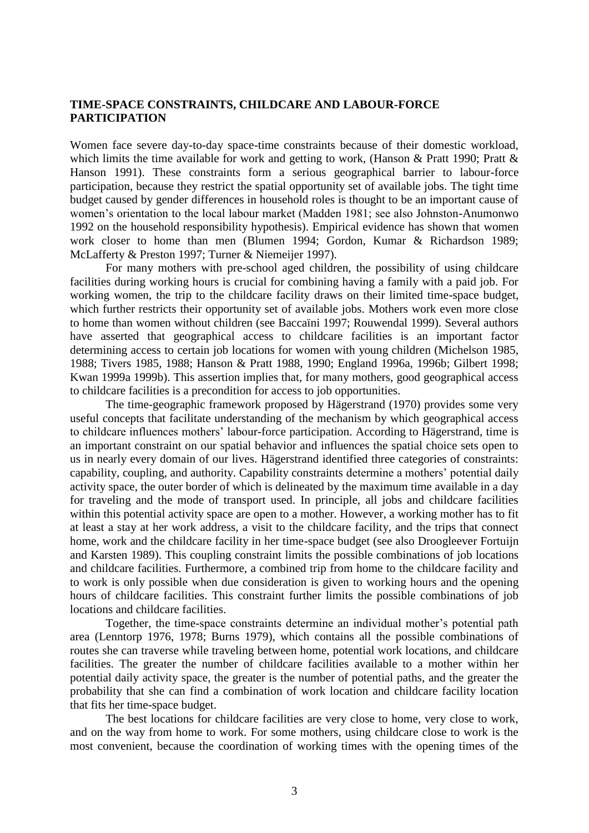#### **TIME-SPACE CONSTRAINTS, CHILDCARE AND LABOUR-FORCE PARTICIPATION**

Women face severe day-to-day space-time constraints because of their domestic workload, which limits the time available for work and getting to work, (Hanson & Pratt 1990; Pratt & Hanson 1991). These constraints form a serious geographical barrier to labour-force participation, because they restrict the spatial opportunity set of available jobs. The tight time budget caused by gender differences in household roles is thought to be an important cause of women's orientation to the local labour market (Madden 1981; see also Johnston-Anumonwo 1992 on the household responsibility hypothesis). Empirical evidence has shown that women work closer to home than men (Blumen 1994; Gordon, Kumar & Richardson 1989; McLafferty & Preston 1997; Turner & Niemeijer 1997).

For many mothers with pre-school aged children, the possibility of using childcare facilities during working hours is crucial for combining having a family with a paid job. For working women, the trip to the childcare facility draws on their limited time-space budget, which further restricts their opportunity set of available jobs. Mothers work even more close to home than women without children (see Baccaïni 1997; Rouwendal 1999). Several authors have asserted that geographical access to childcare facilities is an important factor determining access to certain job locations for women with young children (Michelson 1985, 1988; Tivers 1985, 1988; Hanson & Pratt 1988, 1990; England 1996a, 1996b; Gilbert 1998; Kwan 1999a 1999b). This assertion implies that, for many mothers, good geographical access to childcare facilities is a precondition for access to job opportunities.

The time-geographic framework proposed by Hägerstrand (1970) provides some very useful concepts that facilitate understanding of the mechanism by which geographical access to childcare influences mothers' labour-force participation. According to Hägerstrand, time is an important constraint on our spatial behavior and influences the spatial choice sets open to us in nearly every domain of our lives. Hägerstrand identified three categories of constraints: capability, coupling, and authority. Capability constraints determine a mothers' potential daily activity space, the outer border of which is delineated by the maximum time available in a day for traveling and the mode of transport used. In principle, all jobs and childcare facilities within this potential activity space are open to a mother. However, a working mother has to fit at least a stay at her work address, a visit to the childcare facility, and the trips that connect home, work and the childcare facility in her time-space budget (see also Droogleever Fortuijn and Karsten 1989). This coupling constraint limits the possible combinations of job locations and childcare facilities. Furthermore, a combined trip from home to the childcare facility and to work is only possible when due consideration is given to working hours and the opening hours of childcare facilities. This constraint further limits the possible combinations of job locations and childcare facilities.

Together, the time-space constraints determine an individual mother's potential path area (Lenntorp 1976, 1978; Burns 1979), which contains all the possible combinations of routes she can traverse while traveling between home, potential work locations, and childcare facilities. The greater the number of childcare facilities available to a mother within her potential daily activity space, the greater is the number of potential paths, and the greater the probability that she can find a combination of work location and childcare facility location that fits her time-space budget.

The best locations for childcare facilities are very close to home, very close to work, and on the way from home to work. For some mothers, using childcare close to work is the most convenient, because the coordination of working times with the opening times of the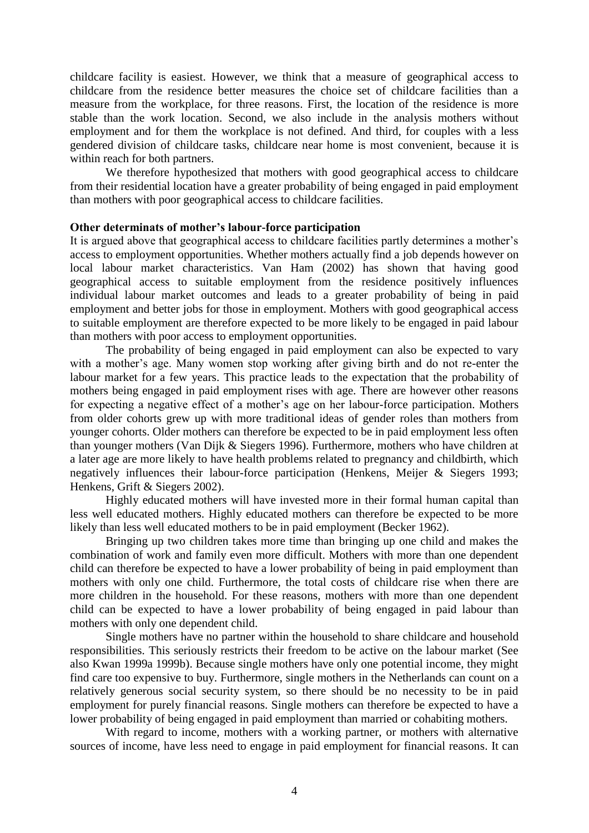childcare facility is easiest. However, we think that a measure of geographical access to childcare from the residence better measures the choice set of childcare facilities than a measure from the workplace, for three reasons. First, the location of the residence is more stable than the work location. Second, we also include in the analysis mothers without employment and for them the workplace is not defined. And third, for couples with a less gendered division of childcare tasks, childcare near home is most convenient, because it is within reach for both partners.

We therefore hypothesized that mothers with good geographical access to childcare from their residential location have a greater probability of being engaged in paid employment than mothers with poor geographical access to childcare facilities.

#### **Other determinats of mother's labour-force participation**

It is argued above that geographical access to childcare facilities partly determines a mother's access to employment opportunities. Whether mothers actually find a job depends however on local labour market characteristics. Van Ham (2002) has shown that having good geographical access to suitable employment from the residence positively influences individual labour market outcomes and leads to a greater probability of being in paid employment and better jobs for those in employment. Mothers with good geographical access to suitable employment are therefore expected to be more likely to be engaged in paid labour than mothers with poor access to employment opportunities.

The probability of being engaged in paid employment can also be expected to vary with a mother's age. Many women stop working after giving birth and do not re-enter the labour market for a few years. This practice leads to the expectation that the probability of mothers being engaged in paid employment rises with age. There are however other reasons for expecting a negative effect of a mother's age on her labour-force participation. Mothers from older cohorts grew up with more traditional ideas of gender roles than mothers from younger cohorts. Older mothers can therefore be expected to be in paid employment less often than younger mothers (Van Dijk & Siegers 1996). Furthermore, mothers who have children at a later age are more likely to have health problems related to pregnancy and childbirth, which negatively influences their labour-force participation (Henkens, Meijer & Siegers 1993; Henkens, Grift & Siegers 2002).

Highly educated mothers will have invested more in their formal human capital than less well educated mothers. Highly educated mothers can therefore be expected to be more likely than less well educated mothers to be in paid employment (Becker 1962).

Bringing up two children takes more time than bringing up one child and makes the combination of work and family even more difficult. Mothers with more than one dependent child can therefore be expected to have a lower probability of being in paid employment than mothers with only one child. Furthermore, the total costs of childcare rise when there are more children in the household. For these reasons, mothers with more than one dependent child can be expected to have a lower probability of being engaged in paid labour than mothers with only one dependent child.

Single mothers have no partner within the household to share childcare and household responsibilities. This seriously restricts their freedom to be active on the labour market (See also Kwan 1999a 1999b). Because single mothers have only one potential income, they might find care too expensive to buy. Furthermore, single mothers in the Netherlands can count on a relatively generous social security system, so there should be no necessity to be in paid employment for purely financial reasons. Single mothers can therefore be expected to have a lower probability of being engaged in paid employment than married or cohabiting mothers.

With regard to income, mothers with a working partner, or mothers with alternative sources of income, have less need to engage in paid employment for financial reasons. It can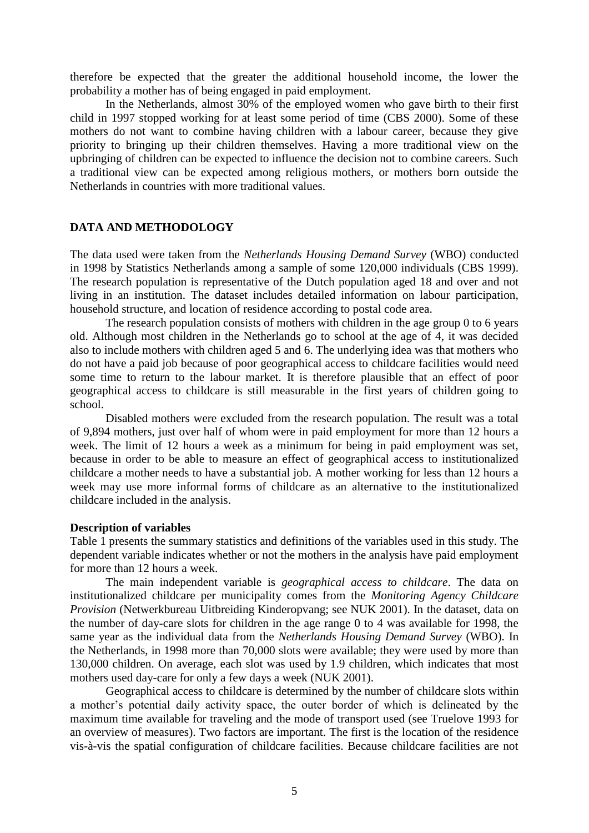therefore be expected that the greater the additional household income, the lower the probability a mother has of being engaged in paid employment.

In the Netherlands, almost 30% of the employed women who gave birth to their first child in 1997 stopped working for at least some period of time (CBS 2000). Some of these mothers do not want to combine having children with a labour career, because they give priority to bringing up their children themselves. Having a more traditional view on the upbringing of children can be expected to influence the decision not to combine careers. Such a traditional view can be expected among religious mothers, or mothers born outside the Netherlands in countries with more traditional values.

#### **DATA AND METHODOLOGY**

The data used were taken from the *Netherlands Housing Demand Survey* (WBO) conducted in 1998 by Statistics Netherlands among a sample of some 120,000 individuals (CBS 1999). The research population is representative of the Dutch population aged 18 and over and not living in an institution. The dataset includes detailed information on labour participation, household structure, and location of residence according to postal code area.

The research population consists of mothers with children in the age group 0 to 6 years old. Although most children in the Netherlands go to school at the age of 4, it was decided also to include mothers with children aged 5 and 6. The underlying idea was that mothers who do not have a paid job because of poor geographical access to childcare facilities would need some time to return to the labour market. It is therefore plausible that an effect of poor geographical access to childcare is still measurable in the first years of children going to school.

Disabled mothers were excluded from the research population. The result was a total of 9,894 mothers, just over half of whom were in paid employment for more than 12 hours a week. The limit of 12 hours a week as a minimum for being in paid employment was set, because in order to be able to measure an effect of geographical access to institutionalized childcare a mother needs to have a substantial job. A mother working for less than 12 hours a week may use more informal forms of childcare as an alternative to the institutionalized childcare included in the analysis.

#### **Description of variables**

Table 1 presents the summary statistics and definitions of the variables used in this study. The dependent variable indicates whether or not the mothers in the analysis have paid employment for more than 12 hours a week.

The main independent variable is *geographical access to childcare*. The data on institutionalized childcare per municipality comes from the *Monitoring Agency Childcare Provision* (Netwerkbureau Uitbreiding Kinderopvang; see NUK 2001). In the dataset, data on the number of day-care slots for children in the age range 0 to 4 was available for 1998, the same year as the individual data from the *Netherlands Housing Demand Survey* (WBO). In the Netherlands, in 1998 more than 70,000 slots were available; they were used by more than 130,000 children. On average, each slot was used by 1.9 children, which indicates that most mothers used day-care for only a few days a week (NUK 2001).

Geographical access to childcare is determined by the number of childcare slots within a mother's potential daily activity space, the outer border of which is delineated by the maximum time available for traveling and the mode of transport used (see Truelove 1993 for an overview of measures). Two factors are important. The first is the location of the residence vis-à-vis the spatial configuration of childcare facilities. Because childcare facilities are not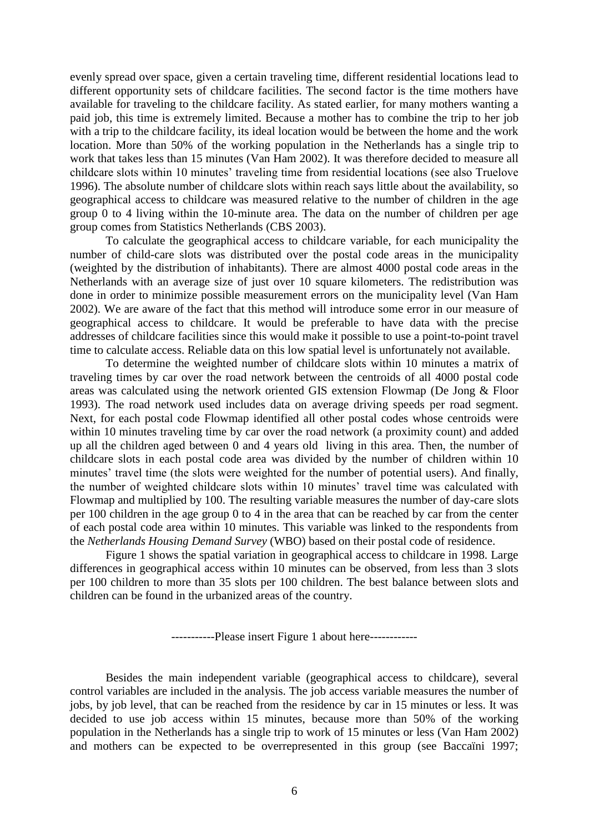evenly spread over space, given a certain traveling time, different residential locations lead to different opportunity sets of childcare facilities. The second factor is the time mothers have available for traveling to the childcare facility. As stated earlier, for many mothers wanting a paid job, this time is extremely limited. Because a mother has to combine the trip to her job with a trip to the childcare facility, its ideal location would be between the home and the work location. More than 50% of the working population in the Netherlands has a single trip to work that takes less than 15 minutes (Van Ham 2002). It was therefore decided to measure all childcare slots within 10 minutes' traveling time from residential locations (see also Truelove 1996). The absolute number of childcare slots within reach says little about the availability, so geographical access to childcare was measured relative to the number of children in the age group 0 to 4 living within the 10-minute area. The data on the number of children per age group comes from Statistics Netherlands (CBS 2003).

To calculate the geographical access to childcare variable, for each municipality the number of child-care slots was distributed over the postal code areas in the municipality (weighted by the distribution of inhabitants). There are almost 4000 postal code areas in the Netherlands with an average size of just over 10 square kilometers. The redistribution was done in order to minimize possible measurement errors on the municipality level (Van Ham 2002). We are aware of the fact that this method will introduce some error in our measure of geographical access to childcare. It would be preferable to have data with the precise addresses of childcare facilities since this would make it possible to use a point-to-point travel time to calculate access. Reliable data on this low spatial level is unfortunately not available.

To determine the weighted number of childcare slots within 10 minutes a matrix of traveling times by car over the road network between the centroids of all 4000 postal code areas was calculated using the network oriented GIS extension Flowmap (De Jong & Floor 1993). The road network used includes data on average driving speeds per road segment. Next, for each postal code Flowmap identified all other postal codes whose centroids were within 10 minutes traveling time by car over the road network (a proximity count) and added up all the children aged between 0 and 4 years old living in this area. Then, the number of childcare slots in each postal code area was divided by the number of children within 10 minutes' travel time (the slots were weighted for the number of potential users). And finally, the number of weighted childcare slots within 10 minutes' travel time was calculated with Flowmap and multiplied by 100. The resulting variable measures the number of day-care slots per 100 children in the age group 0 to 4 in the area that can be reached by car from the center of each postal code area within 10 minutes. This variable was linked to the respondents from the *Netherlands Housing Demand Survey* (WBO) based on their postal code of residence.

Figure 1 shows the spatial variation in geographical access to childcare in 1998. Large differences in geographical access within 10 minutes can be observed, from less than 3 slots per 100 children to more than 35 slots per 100 children. The best balance between slots and children can be found in the urbanized areas of the country.

-----------Please insert Figure 1 about here------------

Besides the main independent variable (geographical access to childcare), several control variables are included in the analysis. The job access variable measures the number of jobs, by job level, that can be reached from the residence by car in 15 minutes or less. It was decided to use job access within 15 minutes, because more than 50% of the working population in the Netherlands has a single trip to work of 15 minutes or less (Van Ham 2002) and mothers can be expected to be overrepresented in this group (see Baccaïni 1997;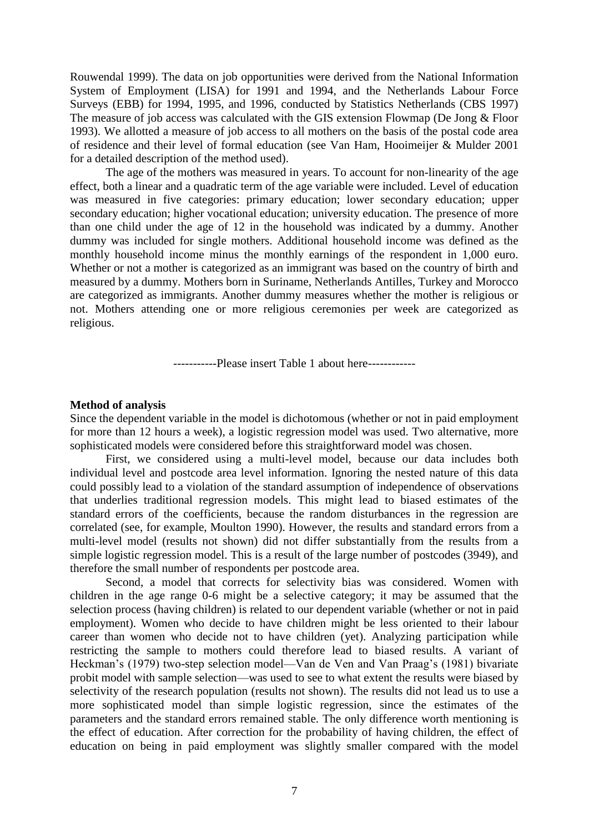Rouwendal 1999). The data on job opportunities were derived from the National Information System of Employment (LISA) for 1991 and 1994, and the Netherlands Labour Force Surveys (EBB) for 1994, 1995, and 1996, conducted by Statistics Netherlands (CBS 1997) The measure of job access was calculated with the GIS extension Flowmap (De Jong & Floor 1993). We allotted a measure of job access to all mothers on the basis of the postal code area of residence and their level of formal education (see Van Ham, Hooimeijer & Mulder 2001 for a detailed description of the method used).

The age of the mothers was measured in years. To account for non-linearity of the age effect, both a linear and a quadratic term of the age variable were included. Level of education was measured in five categories: primary education; lower secondary education; upper secondary education; higher vocational education; university education. The presence of more than one child under the age of 12 in the household was indicated by a dummy. Another dummy was included for single mothers. Additional household income was defined as the monthly household income minus the monthly earnings of the respondent in 1,000 euro. Whether or not a mother is categorized as an immigrant was based on the country of birth and measured by a dummy. Mothers born in Suriname, Netherlands Antilles, Turkey and Morocco are categorized as immigrants. Another dummy measures whether the mother is religious or not. Mothers attending one or more religious ceremonies per week are categorized as religious.

-----------Please insert Table 1 about here------------

#### **Method of analysis**

Since the dependent variable in the model is dichotomous (whether or not in paid employment for more than 12 hours a week), a logistic regression model was used. Two alternative, more sophisticated models were considered before this straightforward model was chosen.

First, we considered using a multi-level model, because our data includes both individual level and postcode area level information. Ignoring the nested nature of this data could possibly lead to a violation of the standard assumption of independence of observations that underlies traditional regression models. This might lead to biased estimates of the standard errors of the coefficients, because the random disturbances in the regression are correlated (see, for example, Moulton 1990). However, the results and standard errors from a multi-level model (results not shown) did not differ substantially from the results from a simple logistic regression model. This is a result of the large number of postcodes (3949), and therefore the small number of respondents per postcode area.

Second, a model that corrects for selectivity bias was considered. Women with children in the age range 0-6 might be a selective category; it may be assumed that the selection process (having children) is related to our dependent variable (whether or not in paid employment). Women who decide to have children might be less oriented to their labour career than women who decide not to have children (yet). Analyzing participation while restricting the sample to mothers could therefore lead to biased results. A variant of Heckman's (1979) two-step selection model—Van de Ven and Van Praag's (1981) bivariate probit model with sample selection—was used to see to what extent the results were biased by selectivity of the research population (results not shown). The results did not lead us to use a more sophisticated model than simple logistic regression, since the estimates of the parameters and the standard errors remained stable. The only difference worth mentioning is the effect of education. After correction for the probability of having children, the effect of education on being in paid employment was slightly smaller compared with the model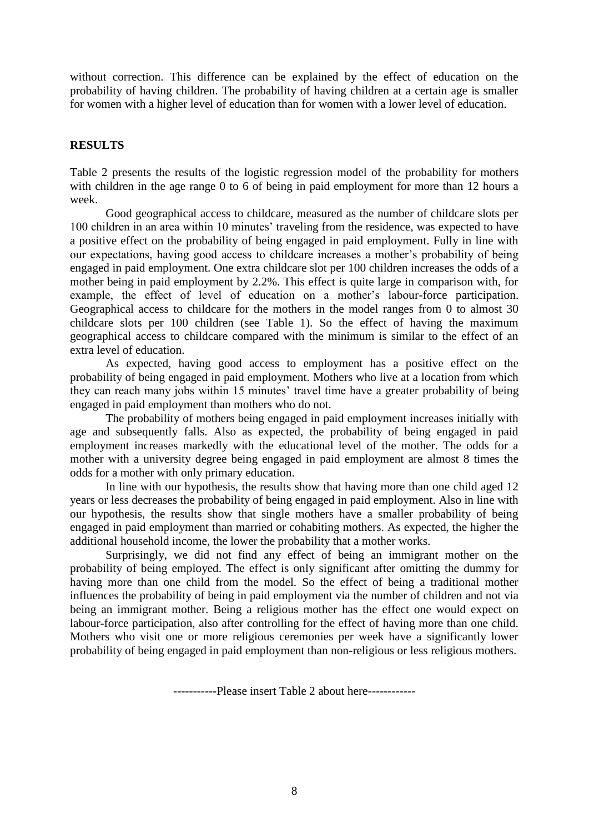without correction. This difference can be explained by the effect of education on the probability of having children. The probability of having children at a certain age is smaller for women with a higher level of education than for women with a lower level of education.

## **RESULTS**

Table 2 presents the results of the logistic regression model of the probability for mothers with children in the age range 0 to 6 of being in paid employment for more than 12 hours a week.

Good geographical access to childcare, measured as the number of childcare slots per 100 children in an area within 10 minutes' traveling from the residence, was expected to have a positive effect on the probability of being engaged in paid employment. Fully in line with our expectations, having good access to childcare increases a mother's probability of being engaged in paid employment. One extra childcare slot per 100 children increases the odds of a mother being in paid employment by 2.2%. This effect is quite large in comparison with, for example, the effect of level of education on a mother's labour-force participation. Geographical access to childcare for the mothers in the model ranges from 0 to almost 30 childcare slots per 100 children (see Table 1). So the effect of having the maximum geographical access to childcare compared with the minimum is similar to the effect of an extra level of education.

As expected, having good access to employment has a positive effect on the probability of being engaged in paid employment. Mothers who live at a location from which they can reach many jobs within 15 minutes' travel time have a greater probability of being engaged in paid employment than mothers who do not.

The probability of mothers being engaged in paid employment increases initially with age and subsequently falls. Also as expected, the probability of being engaged in paid employment increases markedly with the educational level of the mother. The odds for a mother with a university degree being engaged in paid employment are almost 8 times the odds for a mother with only primary education.

In line with our hypothesis, the results show that having more than one child aged 12 years or less decreases the probability of being engaged in paid employment. Also in line with our hypothesis, the results show that single mothers have a smaller probability of being engaged in paid employment than married or cohabiting mothers. As expected, the higher the additional household income, the lower the probability that a mother works.

Surprisingly, we did not find any effect of being an immigrant mother on the probability of being employed. The effect is only significant after omitting the dummy for having more than one child from the model. So the effect of being a traditional mother influences the probability of being in paid employment via the number of children and not via being an immigrant mother. Being a religious mother has the effect one would expect on labour-force participation, also after controlling for the effect of having more than one child. Mothers who visit one or more religious ceremonies per week have a significantly lower probability of being engaged in paid employment than non-religious or less religious mothers.

-----------Please insert Table 2 about here------------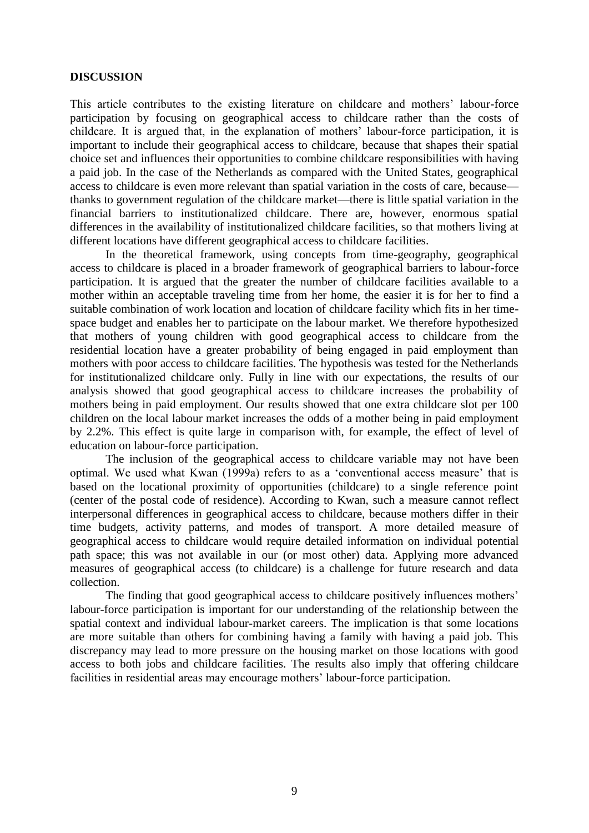#### **DISCUSSION**

This article contributes to the existing literature on childcare and mothers' labour-force participation by focusing on geographical access to childcare rather than the costs of childcare. It is argued that, in the explanation of mothers' labour-force participation, it is important to include their geographical access to childcare, because that shapes their spatial choice set and influences their opportunities to combine childcare responsibilities with having a paid job. In the case of the Netherlands as compared with the United States, geographical access to childcare is even more relevant than spatial variation in the costs of care, because thanks to government regulation of the childcare market—there is little spatial variation in the financial barriers to institutionalized childcare. There are, however, enormous spatial differences in the availability of institutionalized childcare facilities, so that mothers living at different locations have different geographical access to childcare facilities.

In the theoretical framework, using concepts from time-geography, geographical access to childcare is placed in a broader framework of geographical barriers to labour-force participation. It is argued that the greater the number of childcare facilities available to a mother within an acceptable traveling time from her home, the easier it is for her to find a suitable combination of work location and location of childcare facility which fits in her timespace budget and enables her to participate on the labour market. We therefore hypothesized that mothers of young children with good geographical access to childcare from the residential location have a greater probability of being engaged in paid employment than mothers with poor access to childcare facilities. The hypothesis was tested for the Netherlands for institutionalized childcare only. Fully in line with our expectations, the results of our analysis showed that good geographical access to childcare increases the probability of mothers being in paid employment. Our results showed that one extra childcare slot per 100 children on the local labour market increases the odds of a mother being in paid employment by 2.2%. This effect is quite large in comparison with, for example, the effect of level of education on labour-force participation.

The inclusion of the geographical access to childcare variable may not have been optimal. We used what Kwan (1999a) refers to as a 'conventional access measure' that is based on the locational proximity of opportunities (childcare) to a single reference point (center of the postal code of residence). According to Kwan, such a measure cannot reflect interpersonal differences in geographical access to childcare, because mothers differ in their time budgets, activity patterns, and modes of transport. A more detailed measure of geographical access to childcare would require detailed information on individual potential path space; this was not available in our (or most other) data. Applying more advanced measures of geographical access (to childcare) is a challenge for future research and data collection.

The finding that good geographical access to childcare positively influences mothers' labour-force participation is important for our understanding of the relationship between the spatial context and individual labour-market careers. The implication is that some locations are more suitable than others for combining having a family with having a paid job. This discrepancy may lead to more pressure on the housing market on those locations with good access to both jobs and childcare facilities. The results also imply that offering childcare facilities in residential areas may encourage mothers' labour-force participation.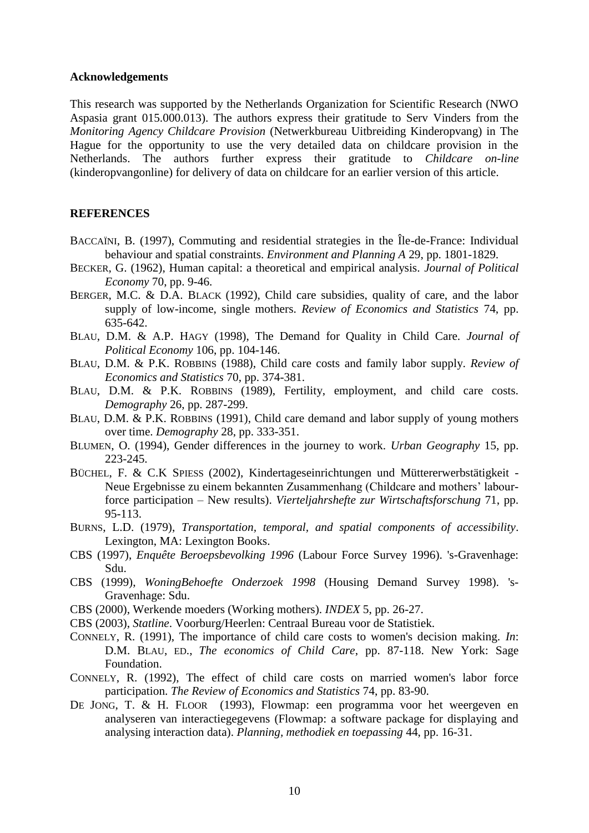#### **Acknowledgements**

This research was supported by the Netherlands Organization for Scientific Research (NWO Aspasia grant 015.000.013). The authors express their gratitude to Serv Vinders from the *Monitoring Agency Childcare Provision* (Netwerkbureau Uitbreiding Kinderopvang) in The Hague for the opportunity to use the very detailed data on childcare provision in the Netherlands. The authors further express their gratitude to *Childcare on-line* (kinderopvangonline) for delivery of data on childcare for an earlier version of this article.

#### **REFERENCES**

- BACCAÏNI, B. (1997), Commuting and residential strategies in the Île-de-France: Individual behaviour and spatial constraints. *Environment and Planning A* 29, pp. 1801-1829.
- BECKER, G. (1962), Human capital: a theoretical and empirical analysis. *Journal of Political Economy* 70, pp. 9-46.
- BERGER, M.C. & D.A. BLACK (1992), Child care subsidies, quality of care, and the labor supply of low-income, single mothers. *Review of Economics and Statistics* 74, pp. 635-642.
- BLAU, D.M. & A.P. HAGY (1998), The Demand for Quality in Child Care. *Journal of Political Economy* 106, pp. 104-146.
- BLAU, D.M. & P.K. ROBBINS (1988), Child care costs and family labor supply. *Review of Economics and Statistics* 70, pp. 374-381.
- BLAU, D.M. & P.K. ROBBINS (1989), Fertility, employment, and child care costs. *Demography* 26, pp. 287-299.
- BLAU, D.M. & P.K. ROBBINS (1991), Child care demand and labor supply of young mothers over time. *Demography* 28, pp. 333-351.
- BLUMEN, O. (1994), Gender differences in the journey to work. *Urban Geography* 15, pp. 223-245.
- BÜCHEL, F. & C.K SPIESS (2002), Kindertageseinrichtungen und Müttererwerbstätigkeit Neue Ergebnisse zu einem bekannten Zusammenhang (Childcare and mothers' labourforce participation – New results). *Vierteljahrshefte zur Wirtschaftsforschung* 71, pp. 95-113.
- BURNS, L.D. (1979), *Transportation, temporal, and spatial components of accessibility*. Lexington, MA: Lexington Books.
- CBS (1997), *Enquête Beroepsbevolking 1996* (Labour Force Survey 1996). 's-Gravenhage: Sdu.
- CBS (1999), *WoningBehoefte Onderzoek 1998* (Housing Demand Survey 1998). 's-Gravenhage: Sdu.
- CBS (2000), Werkende moeders (Working mothers). *INDEX* 5, pp. 26-27.
- CBS (2003), *Statline*. Voorburg/Heerlen: Centraal Bureau voor de Statistiek.
- CONNELY, R. (1991), The importance of child care costs to women's decision making. *In*: D.M. BLAU, ED., *The economics of Child Care*, pp. 87-118. New York: Sage Foundation.
- CONNELY, R. (1992), The effect of child care costs on married women's labor force participation. *The Review of Economics and Statistics* 74, pp. 83-90.
- DE JONG, T. & H. FLOOR (1993), Flowmap: een programma voor het weergeven en analyseren van interactiegegevens (Flowmap: a software package for displaying and analysing interaction data). *Planning, methodiek en toepassing* 44, pp. 16-31.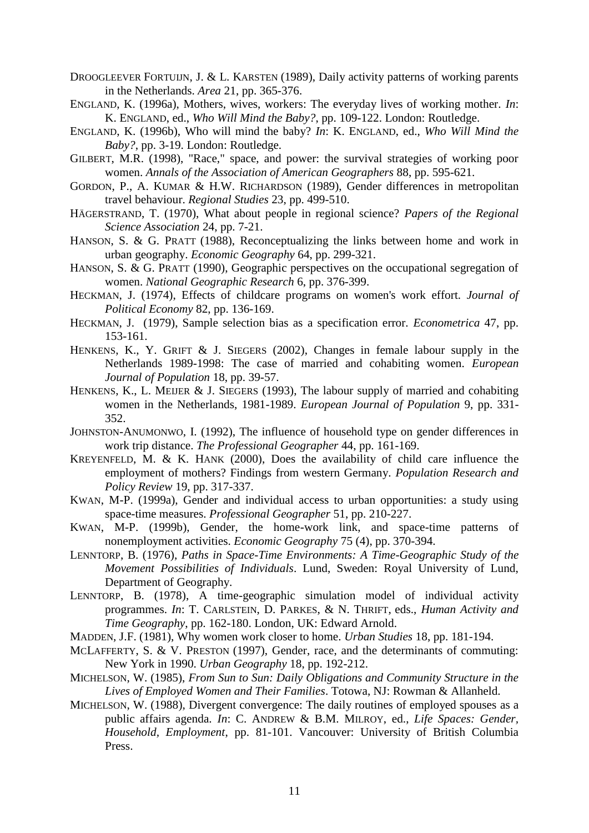- DROOGLEEVER FORTUIJN, J. & L. KARSTEN (1989), Daily activity patterns of working parents in the Netherlands. *Area* 21, pp. 365-376.
- ENGLAND, K. (1996a), Mothers, wives, workers: The everyday lives of working mother. *In*: K. ENGLAND, ed., *Who Will Mind the Baby?*, pp. 109-122. London: Routledge.
- ENGLAND, K. (1996b), Who will mind the baby? *In*: K. ENGLAND, ed., *Who Will Mind the Baby?*, pp. 3-19. London: Routledge.
- GILBERT, M.R. (1998), "Race," space, and power: the survival strategies of working poor women. *Annals of the Association of American Geographers* 88, pp. 595-621.
- GORDON, P., A. KUMAR & H.W. RICHARDSON (1989), Gender differences in metropolitan travel behaviour. *Regional Studies* 23, pp. 499-510.
- HÄGERSTRAND, T. (1970), What about people in regional science? *Papers of the Regional Science Association* 24, pp. 7-21.
- HANSON, S. & G. PRATT (1988), Reconceptualizing the links between home and work in urban geography. *Economic Geography* 64, pp. 299-321.
- HANSON, S. & G. PRATT (1990), Geographic perspectives on the occupational segregation of women. *National Geographic Research* 6, pp. 376-399.
- HECKMAN, J. (1974), Effects of childcare programs on women's work effort. *Journal of Political Economy* 82, pp. 136-169.
- HECKMAN, J. (1979), Sample selection bias as a specification error. *Econometrica* 47, pp. 153-161.
- HENKENS, K., Y. GRIFT & J. SIEGERS (2002), Changes in female labour supply in the Netherlands 1989-1998: The case of married and cohabiting women. *European Journal of Population* 18, pp. 39-57.
- HENKENS, K., L. MEIJER & J. SIEGERS (1993), The labour supply of married and cohabiting women in the Netherlands, 1981-1989. *European Journal of Population* 9, pp. 331- 352.
- JOHNSTON-ANUMONWO, I. (1992), The influence of household type on gender differences in work trip distance. *The Professional Geographer* 44, pp. 161-169.
- KREYENFELD, M. & K. HANK (2000), Does the availability of child care influence the employment of mothers? Findings from western Germany. *Population Research and Policy Review* 19, pp. 317-337.
- KWAN, M-P. (1999a), Gender and individual access to urban opportunities: a study using space-time measures. *Professional Geographer* 51, pp. 210-227.
- KWAN, M-P. (1999b), Gender, the home-work link, and space-time patterns of nonemployment activities. *Economic Geography* 75 (4), pp. 370-394.
- LENNTORP, B. (1976), *Paths in Space-Time Environments: A Time-Geographic Study of the Movement Possibilities of Individuals*. Lund, Sweden: Royal University of Lund, Department of Geography.
- LENNTORP, B. (1978), A time-geographic simulation model of individual activity programmes. *In*: T. CARLSTEIN, D. PARKES, & N. THRIFT, eds., *Human Activity and Time Geography*, pp. 162-180. London, UK: Edward Arnold.
- MADDEN, J.F. (1981), Why women work closer to home. *Urban Studies* 18, pp. 181-194.
- MCLAFFERTY, S. & V. PRESTON (1997), Gender, race, and the determinants of commuting: New York in 1990. *Urban Geography* 18, pp. 192-212.
- MICHELSON, W. (1985), *From Sun to Sun: Daily Obligations and Community Structure in the Lives of Employed Women and Their Families*. Totowa, NJ: Rowman & Allanheld.
- MICHELSON, W. (1988), Divergent convergence: The daily routines of employed spouses as a public affairs agenda. *In*: C. ANDREW & B.M. MILROY, ed., *Life Spaces: Gender, Household, Employment*, pp. 81-101. Vancouver: University of British Columbia Press.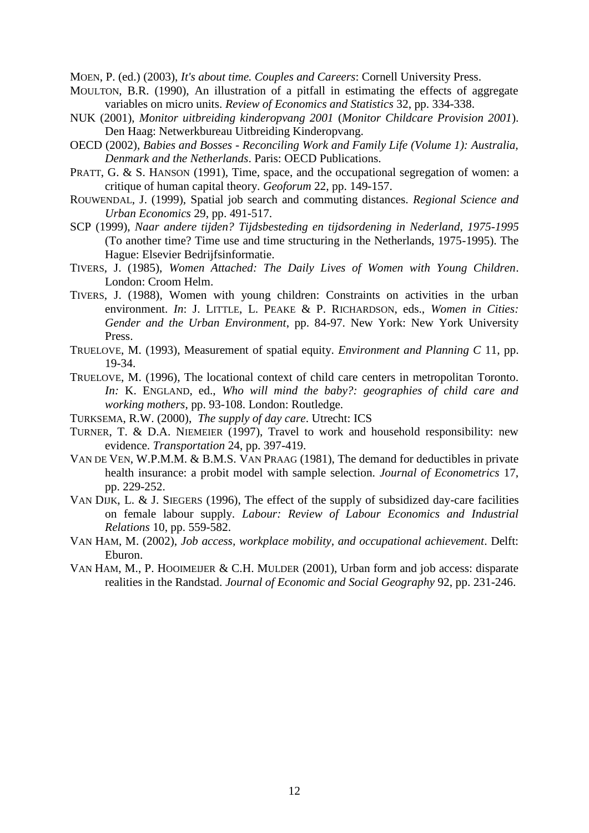MOEN, P. (ed.) (2003), *It's about time. Couples and Careers*: Cornell University Press.

- MOULTON, B.R. (1990), An illustration of a pitfall in estimating the effects of aggregate variables on micro units. *Review of Economics and Statistics* 32, pp. 334-338.
- NUK (2001), *Monitor uitbreiding kinderopvang 2001* (*Monitor Childcare Provision 2001*). Den Haag: Netwerkbureau Uitbreiding Kinderopvang.
- OECD (2002), *Babies and Bosses - Reconciling Work and Family Life (Volume 1): Australia, Denmark and the Netherlands*. Paris: OECD Publications.
- PRATT, G. & S. HANSON (1991), Time, space, and the occupational segregation of women: a critique of human capital theory. *Geoforum* 22, pp. 149-157.
- ROUWENDAL, J. (1999), Spatial job search and commuting distances. *Regional Science and Urban Economics* 29, pp. 491-517.
- SCP (1999), *Naar andere tijden? Tijdsbesteding en tijdsordening in Nederland, 1975-1995* (To another time? Time use and time structuring in the Netherlands, 1975-1995). The Hague: Elsevier Bedrijfsinformatie.
- TIVERS, J. (1985), *Women Attached: The Daily Lives of Women with Young Children*. London: Croom Helm.
- TIVERS, J. (1988), Women with young children: Constraints on activities in the urban environment. *In*: J. LITTLE, L. PEAKE & P. RICHARDSON, eds., *Women in Cities: Gender and the Urban Environment*, pp. 84-97. New York: New York University Press.
- TRUELOVE, M. (1993), Measurement of spatial equity. *Environment and Planning C* 11, pp. 19-34.
- TRUELOVE, M. (1996), The locational context of child care centers in metropolitan Toronto. *In:* K. ENGLAND, ed., *Who will mind the baby?: geographies of child care and working mothers*, pp. 93-108. London: Routledge.
- TURKSEMA, R.W. (2000), *The supply of day care*. Utrecht: ICS
- TURNER, T. & D.A. NIEMEIER (1997), Travel to work and household responsibility: new evidence. *Transportation* 24, pp. 397-419.
- VAN DE VEN, W.P.M.M. & B.M.S. VAN PRAAG (1981), The demand for deductibles in private health insurance: a probit model with sample selection. *Journal of Econometrics* 17, pp. 229-252.
- VAN DIJK, L. & J. SIEGERS (1996), The effect of the supply of subsidized day-care facilities on female labour supply. *Labour: Review of Labour Economics and Industrial Relations* 10, pp. 559-582.
- VAN HAM, M. (2002), *Job access, workplace mobility, and occupational achievement*. Delft: Eburon.
- VAN HAM, M., P. HOOIMEIJER & C.H. MULDER (2001), Urban form and job access: disparate realities in the Randstad. *Journal of Economic and Social Geography* 92, pp. 231-246.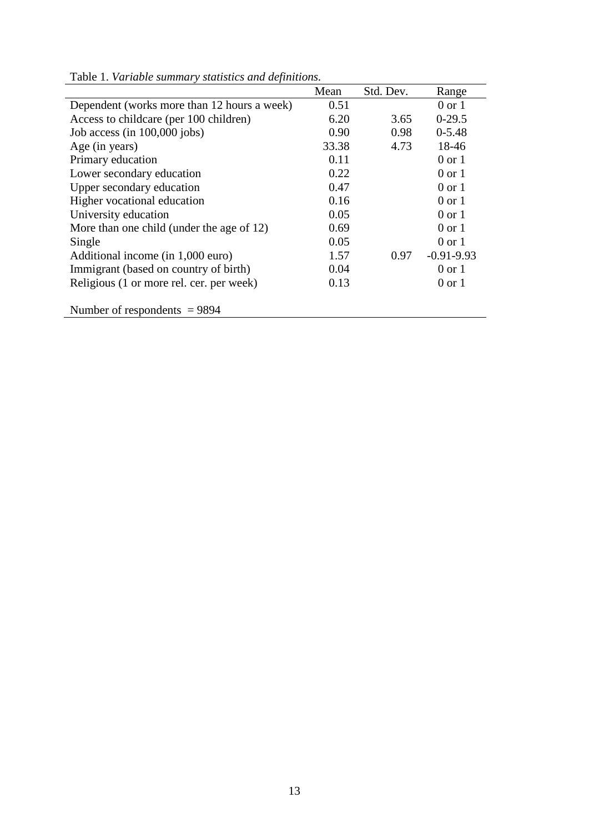|                                             | Mean  | Std. Dev. | Range             |
|---------------------------------------------|-------|-----------|-------------------|
| Dependent (works more than 12 hours a week) | 0.51  |           | $0 \text{ or } 1$ |
| Access to childcare (per 100 children)      | 6.20  | 3.65      | $0-29.5$          |
| Job access (in 100,000 jobs)                | 0.90  | 0.98      | $0 - 5.48$        |
| Age (in years)                              | 33.38 | 4.73      | 18-46             |
| Primary education                           | 0.11  |           | $0$ or $1$        |
| Lower secondary education                   | 0.22  |           | $0$ or $1$        |
| Upper secondary education                   | 0.47  |           | $0 \text{ or } 1$ |
| Higher vocational education                 | 0.16  |           | $0 \text{ or } 1$ |
| University education                        | 0.05  |           | $0 \text{ or } 1$ |
| More than one child (under the age of 12)   | 0.69  |           | $0$ or $1$        |
| Single                                      | 0.05  |           | $0 \text{ or } 1$ |
| Additional income (in 1,000 euro)           | 1.57  | 0.97      | $-0.91 - 9.93$    |
| Immigrant (based on country of birth)       | 0.04  |           | $0 \text{ or } 1$ |
| Religious (1 or more rel. cer. per week)    | 0.13  |           | $0 \text{ or } 1$ |
| Number of respondents $= 9894$              |       |           |                   |

Table 1. *Variable summary statistics and definitions.*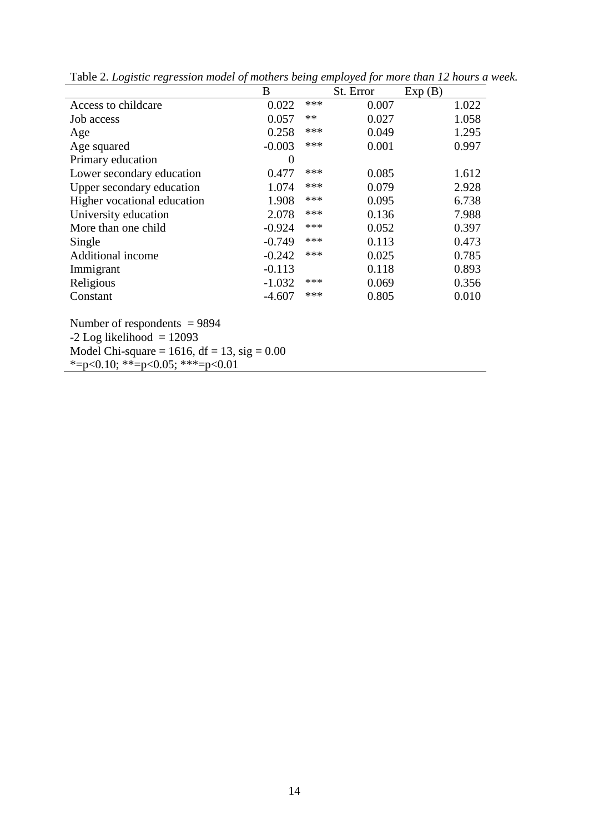| B                                                                             |       |       | Exp(B)    |       |  |  |
|-------------------------------------------------------------------------------|-------|-------|-----------|-------|--|--|
| 0.022                                                                         | $***$ | 0.007 |           | 1.022 |  |  |
| 0.057                                                                         | $**$  | 0.027 |           | 1.058 |  |  |
| 0.258                                                                         | ***   | 0.049 |           | 1.295 |  |  |
| $-0.003$                                                                      | ***   | 0.001 |           | 0.997 |  |  |
| $\overline{0}$                                                                |       |       |           |       |  |  |
| 0.477                                                                         | ***   | 0.085 |           | 1.612 |  |  |
| 1.074                                                                         | ***   | 0.079 |           | 2.928 |  |  |
| 1.908                                                                         | ***   | 0.095 |           | 6.738 |  |  |
| 2.078                                                                         | ***   | 0.136 |           | 7.988 |  |  |
| $-0.924$                                                                      | ***   | 0.052 |           | 0.397 |  |  |
| $-0.749$                                                                      | ***   | 0.113 |           | 0.473 |  |  |
| $-0.242$                                                                      | ***   | 0.025 |           | 0.785 |  |  |
| $-0.113$                                                                      |       | 0.118 |           | 0.893 |  |  |
| $-1.032$                                                                      | ***   | 0.069 |           | 0.356 |  |  |
| $-4.607$                                                                      | ***   | 0.805 |           | 0.010 |  |  |
|                                                                               |       |       |           |       |  |  |
|                                                                               |       |       |           |       |  |  |
| $-2$ Log likelihood = 12093<br>Model Chi-square = 1616, df = 13, sig = $0.00$ |       |       |           |       |  |  |
|                                                                               |       |       |           |       |  |  |
|                                                                               |       |       | St. Error |       |  |  |

Table 2. *Logistic regression model of mothers being employed for more than 12 hours a week.*